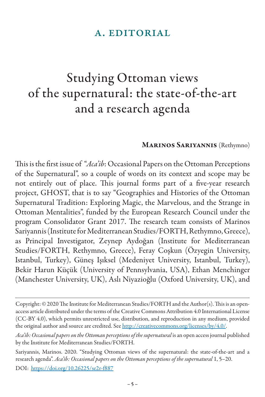## a. editorial

## Studying Ottoman views of the supernatural: the state-of-the-art and a research agenda

## Marinos Sariyannis (Rethymno)

This is the first issue of "*Aca'ib*: Occasional Papers on the Ottoman Perceptions of the Supernatural", so a couple of words on its context and scope may be not entirely out of place. This journal forms part of a five-year research project, GHOST, that is to say "Geographies and Histories of the Ottoman Supernatural Tradition: Exploring Magic, the Marvelous, and the Strange in Ottoman Mentalities", funded by the European Research Council under the program Consolidator Grant 2017. The research team consists of Marinos Sariyannis (Institute for Mediterranean Studies/FORTH, Rethymno, Greece), as Principal Investigator, Zeynep Aydoğan (Institute for Mediterranean Studies/FORTH, Rethymno, Greece), Feray Coşkun (Özyegin University, Istanbul, Turkey), Güneş Işıksel (Medeniyet University, Istanbul, Turkey), Bekir Harun Küçük (University of Pennsylvania, USA), Ethan Menchinger (Manchester University, UK), Aslı Niyazioğlu (Oxford University, UK), and

Copyright: © 2020 The Institute for Mediterranean Studies/FORTH and the Author(s). This is an openaccess article distributed under the terms of the Creative Commons Attribution 4.0 International License (CC-BY 4.0), which permits unrestricted use, distribution, and reproduction in any medium, provided the original author and source are credited. See http://creativecommons.org/licenses/by/4.0/.

*Aca'ib: Occasional papers on the Ottoman perceptions of the supernatural* is an open access journal published by the Institute for Mediterranean Studies/FORTH.

Sariyannis, Marinos. 2020. "Studying Ottoman views of the supernatural: the state-of-the-art and a research agenda". *Aca'ib: Occasional papers on the Ottoman perceptions of the supernatural* 1, 5-20. DOI: https://doi.org/10.26225/se2r-f887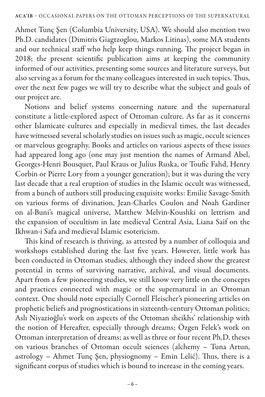Ahmet Tunç Şen (Columbia University, USA). We should also mention two Ph.D. candidates (Dimitris Giagtzoglou, Markos Litinas), some MA students and our technical staff who help keep things running. The project began in 2018; the present scientific publication aims at keeping the community informed of our activities, presenting some sources and literature surveys, but also serving as a forum for the many colleagues interested in such topics. Thus, over the next few pages we will try to describe what the subject and goals of our project are.

Notions and belief systems concerning nature and the supernatural constitute a little-explored aspect of Ottoman culture. As far as it concerns other Islamicate cultures and especially in medieval times, the last decades have witnessed several scholarly studies on issues such as magic, occult sciences or marvelous geography. Books and articles on various aspects of these issues had appeared long ago (one may just mention the names of Armand Abel, Georges-Henri Bousquet, Paul Kraus or Julius Ruska, or Toufic Fahd, Henry Corbin or Pierre Lory from a younger generation); but it was during the very last decade that a real eruption of studies in the Islamic occult was witnessed, from a bunch of authors still producing exquisite works: Emilie Savage-Smith on various forms of divination, Jean-Charles Coulon and Noah Gardiner on al-Buni's magical universe, Matthew Melvin-Koushki on lettrism and the expansion of occultism in late medieval Central Asia, Liana Saif on the Ikhwan-i Safa and medieval Islamic esotericism.

This kind of research is thriving, as attested by a number of colloquia and workshops established during the last five years. However, little work has been conducted in Ottoman studies, although they indeed show the greatest potential in terms of surviving narrative, archival, and visual documents. Apart from a few pioneering studies, we still know very little on the concepts and practices connected with magic or the supernatural in an Ottoman context. One should note especially Cornell Fleischer's pioneering articles on prophetic beliefs and prognostications in sixteenth-century Ottoman politics; Aslı Niyazioğlu's work on aspects of the Ottoman sheikhs' relationship with the notion of Hereafter, especially through dreams; Özgen Felek's work on Ottoman interpretation of dreams; as well as three or four recent Ph.D. theses on various branches of Ottoman occult sciences (alchemy – Tuna Artun, astrology – Ahmet Tunç Şen, physiognomy – Emin Lelić). Thus, there is a significant corpus of studies which is bound to increase in the coming years.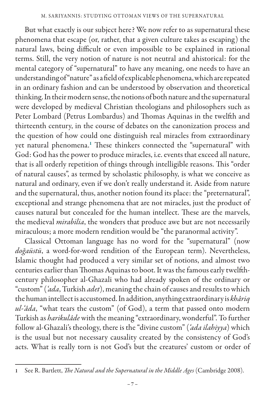But what exactly is our subject here? We now refer to as supernatural these phenomena that escape (or, rather, that a given culture takes as escaping) the natural laws, being difficult or even impossible to be explained in rational terms. Still, the very notion of nature is not neutral and ahistorical: for the mental category of "supernatural" to have any meaning, one needs to have an understanding of "nature" as a field of explicable phenomena, which are repeated in an ordinary fashion and can be understood by observation and theoretical thinking. In their modern sense, the notions of both nature and the supernatural were developed by medieval Christian theologians and philosophers such as Peter Lombard (Petrus Lombardus) and Thomas Aquinas in the twelfth and thirteenth century, in the course of debates on the canonization process and the question of how could one distinguish real miracles from extraordinary yet natural phenomena.<sup>1</sup> These thinkers connected the "supernatural" with God: God has the power to produce miracles, i.e. events that exceed all nature, that is all orderly repetition of things through intelligible reasons. This "order of natural causes", as termed by scholastic philosophy, is what we conceive as natural and ordinary, even if we don't really understand it. Aside from nature and the supernatural, thus, another notion found its place: the "preternatural", exceptional and strange phenomena that are not miracles, just the product of causes natural but concealed for the human intellect. These are the marvels, the medieval *mirabilia*, the wonders that produce awe but are not necessarily miraculous; a more modern rendition would be "the paranormal activity".

Classical Ottoman language has no word for the "supernatural" (now *doğaüstü*, a word-for-word rendition of the European term). Nevertheless, Islamic thought had produced a very similar set of notions, and almost two centuries earlier than Thomas Aquinas to boot. It was the famous early twelfthcentury philosopher al-Ghazali who had already spoken of the ordinary or "custom" (*'ada*, Turkish *adet*), meaning the chain of causes and results to which the human intellect is accustomed. In addition, anything extraordinary is *khâriq ul-'âda*, "what tears the custom" (of God), a term that passed onto modern Turkish as *harikulâde* with the meaning "extraordinary, wonderful". To further follow al-Ghazali's theology, there is the "divine custom" (*'ada ilahiyya*) which is the usual but not necessary causality created by the consistency of God's acts. What is really torn is not God's but the creatures' custom or order of

<sup>1</sup> See R. Bartlett, *The Natural and the Supernatural in the Middle Ages* (Cambridge 2008).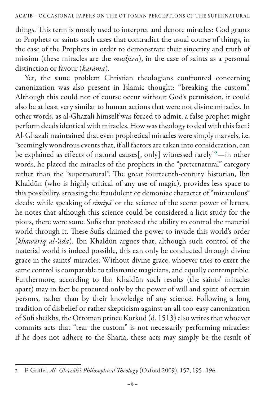things. This term is mostly used to interpret and denote miracles: God grants to Prophets or saints such cases that contradict the usual course of things, in the case of the Prophets in order to demonstrate their sincerity and truth of mission (these miracles are the *mudjiza*), in the case of saints as a personal distinction or favour (*karâma*).

Yet, the same problem Christian theologians confronted concerning canonization was also present in Islamic thought: "breaking the custom". Although this could not of course occur without God's permission, it could also be at least very similar to human actions that were not divine miracles. In other words, as al-Ghazali himself was forced to admit, a false prophet might perform deeds identical with miracles. How was theology to deal with this fact? Al-Ghazali maintained that even prophetical miracles were simply marvels, i.e. "seemingly wondrous events that, if all factors are taken into consideration, can be explained as effects of natural causes[, only] witnessed rarely"<sup>2</sup> —in other words, he placed the miracles of the prophets in the "preternatural" category rather than the "supernatural". The great fourteenth-century historian, Ibn Khaldūn (who is highly critical of any use of magic), provides less space to this possibility, stressing the fraudulent or demoniac character of "miraculous" deeds: while speaking of *sīmiyā'* or the science of the secret power of letters, he notes that although this science could be considered a licit study for the pious, there were some Sufis that professed the ability to control the material world through it. These Sufis claimed the power to invade this world's order (*khawāriq al-'āda*). Ibn Khaldūn argues that, although such control of the material world is indeed possible, this can only be conducted through divine grace in the saints' miracles. Without divine grace, whoever tries to exert the same control is comparable to talismanic magicians, and equally contemptible. Furthermore, according to Ibn Khaldūn such results (the saints' miracles apart) may in fact be procured only by the power of will and spirit of certain persons, rather than by their knowledge of any science. Following a long tradition of disbelief or rather skepticism against an all-too-easy canonization of Sufi sheikhs, the Ottoman prince Korkud (d. 1513) also writes that whoever commits acts that "tear the custom" is not necessarily performing miracles: if he does not adhere to the Sharia, these acts may simply be the result of

<sup>2</sup> F. Griffel, *Al- Ghazālī's Philosophical Theology* (Oxford 2009), 157, 195–196.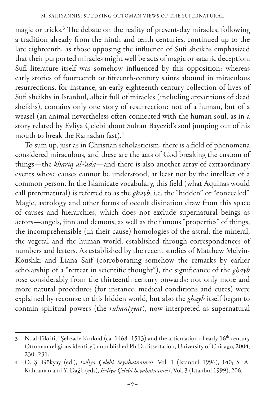magic or tricks.<sup>3</sup> The debate on the reality of present-day miracles, following a tradition already from the ninth and tenth centuries, continued up to the late eighteenth, as those opposing the influence of Sufi sheikhs emphasized that their purported miracles might well be acts of magic or satanic deception. Sufi literature itself was somehow influenced by this opposition: whereas early stories of fourteenth or fifteenth-century saints abound in miraculous resurrections, for instance, an early eighteenth-century collection of lives of Sufi sheikhs in Istanbul, albeit full of miracles (including apparitions of dead sheikhs), contains only one story of resurrection: not of a human, but of a weasel (an animal nevertheless often connected with the human soul, as in a story related by Evliya Çelebi about Sultan Bayezid's soul jumping out of his mouth to break the Ramadan fast).<sup>4</sup>

To sum up, just as in Christian scholasticism, there is a field of phenomena considered miraculous, and these are the acts of God breaking the custom of things—the *khariq al-'ada*—and there is also another array of extraordinary events whose causes cannot be understood, at least not by the intellect of a common person. In the Islamicate vocabulary, this field (what Aquinas would call preternatural) is referred to as the *ghayb*, i.e. the "hidden" or "concealed". Magic, astrology and other forms of occult divination draw from this space of causes and hierarchies, which does not exclude supernatural beings as actors—angels, jinn and demons, as well as the famous "properties" of things, the incomprehensible (in their cause) homologies of the astral, the mineral, the vegetal and the human world, established through correspondences of numbers and letters. As established by the recent studies of Matthew Melvin-Koushki and Liana Saif (corroborating somehow the remarks by earlier scholarship of a "retreat in scientific thought"), the significance of the *ghayb*  rose considerably from the thirteenth century onwards: not only more and more natural procedures (for instance, medical conditions and cures) were explained by recourse to this hidden world, but also the *ghayb* itself began to contain spiritual powers (the *ruhaniyyat*), now interpreted as supernatural

<sup>3</sup> N. al-Tikriti, "Şehzade Korkud (ca. 1468–1513) and the articulation of early 16<sup>th</sup> century Ottoman religious identity", unpublished Ph.D. dissertation, University of Chicago, 2004, 230–231.

<sup>4</sup> O. Ş. Gökyay (ed.), *Evliya Çelebi Seyahatnamesi*, Vol. 1 (Istanbul 1996), 140; S. A. Kahraman and Y. Dağlı (eds), *Evliya Çelebi Seyahatnamesi*, Vol. 3 (Istanbul 1999), 206.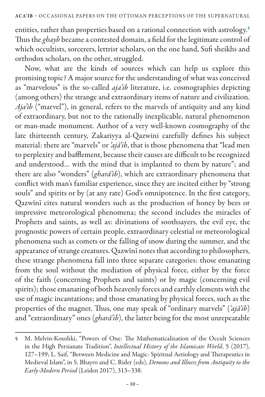entities, rather than properties based on a rational connection with astrology.<sup>5</sup> Thus the *ghayb* became a contested domain, a field for the legitimate control of which occultists, sorcerers, lettrist scholars, on the one hand, Sufi sheikhs and orthodox scholars, on the other, struggled.

Now, what are the kinds of sources which can help us explore this promising topic? A major source for the understanding of what was conceived as "marvelous" is the so-called *aja'ib* literature, i.e. cosmographies depicting (among others) the strange and extraordinary items of nature and civilization. *Aja'ib* ("marvel"), in general, refers to the marvels of antiquity and any kind of extraordinary, but not to the rationally inexplicable, natural phenomenon or man-made monument. Author of a very well-known cosmography of the late thirteenth century, Zakariyya al-Qazwini carefully defines his subject material: there are "marvels" or *'ajâ'ib*, that is those phenomena that "lead men to perplexity and bafflement, because their causes are difficult to be recognized and understood… with the mind that is implanted to them by nature"; and there are also "wonders" (*gharâ'ib*), which are extraordinary phenomena that conflict with man's familiar experience, since they are incited either by "strong souls" and spirits or by (at any rate) God's omnipotence. In the first category, Qazwīnī cites natural wonders such as the production of honey by bees or impressive meteorological phenomena; the second includes the miracles of Prophets and saints, as well as: divinations of soothsayers, the evil eye, the prognostic powers of certain people, extraordinary celestial or meteorological phenomena such as comets or the falling of snow during the summer, and the appearance of strange creatures. Qazwīnī notes that according to philosophers, these strange phenomena fall into three separate categories: those emanating from the soul without the mediation of physical force, either by the force of the faith (concerning Prophets and saints) or by magic (concerning evil spirits); those emanating of both heavenly forces and earthly elements with the use of magic incantations; and those emanating by physical forces, such as the properties of the magnet. Thus, one may speak of "ordinary marvels" (*'ajâ'ib*) and "extraordinary" ones (*gharâ'ib*), the latter being for the most unrepeatable

<sup>5</sup> M. Melvin-Koushki, "Powers of One: The Mathematicalization of the Occult Sciences in the High Persianate Tradition", *Intellectual History of the Islamicate World*, 5 (2017), 127–199; L. Saif, "Between Medicine and Magic: Spiritual Aetiology and Therapeutics in Medieval Islam", in S. Bhayro and C. Rider (eds), *Demons and Illness from Antiquity to the Early-Modern Period* (Leiden 2017), 313–338.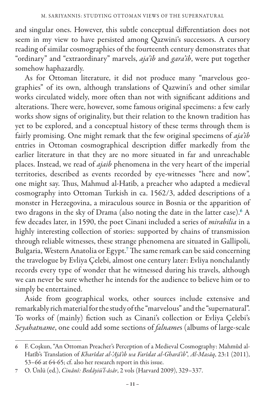and singular ones. However, this subtle conceptual differentiation does not seem in my view to have persisted among Qazwini's successors. A cursory reading of similar cosmographies of the fourteenth century demonstrates that "ordinary" and "extraordinary" marvels, *aja'ib* and *gara'ib*, were put together somehow haphazardly.

As for Ottoman literature, it did not produce many "marvelous geographies" of its own, although translations of Qazwini's and other similar works circulated widely, more often than not with significant additions and alterations. There were, however, some famous original specimens: a few early works show signs of originality, but their relation to the known tradition has yet to be explored, and a conceptual history of these terms through them is fairly promising. One might remark that the few original specimens of *aja'ib*  entries in Ottoman cosmographical description differ markedly from the earlier literature in that they are no more situated in far and unreachable places. Instead, we read of *ajaib* phenomena in the very heart of the imperial territories, described as events recorded by eye-witnesses "here and now", one might say. Thus, Mahmud al-Hatib, a preacher who adapted a medieval cosmography into Ottoman Turkish in ca. 1562/3, added descriptions of a monster in Herzegovina, a miraculous source in Bosnia or the apparition of two dragons in the sky of Drama (also noting the date in the latter case).<sup>6</sup> A few decades later, in 1590, the poet Cinani included a series of *mirabilia* in a highly interesting collection of stories: supported by chains of transmission through reliable witnesses, these strange phenomena are situated in Gallipoli, Bulgaria, Western Anatolia or Egypt.<sup>7</sup> The same remark can be said concerning the travelogue by Evliya Çelebi, almost one century later: Evliya nonchalantly records every type of wonder that he witnessed during his travels, although we can never be sure whether he intends for the audience to believe him or to simply be entertained.

Aside from geographical works, other sources include extensive and remarkably rich material for the study of the "marvelous" and the "supernatural". To works of (mainly) fiction such as Cinani's collection or Evliya Çelebi's *Seyahatname*, one could add some sections of *falname*s (albums of large-scale

<sup>6</sup> F. Coşkun, "An Ottoman Preacher's Perception of a Medieval Cosmography: Mahmûd al-Hatîb's Translation of *Kharîdat al-'Ajâ'ib wa Farîdat al-Gharâ'ib*", *Al-Masāq*, 23:1 (2011), 53–66 at 64-65; cf. also her research report in this issue.

<sup>7</sup> O. Ünlü (ed.), *Cinânî: Bedâyiü'l-âsâr*, 2 vols (Harvard 2009), 329–337.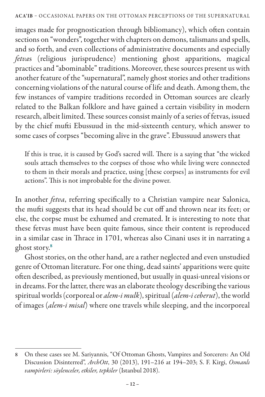images made for prognostication through bibliomancy), which often contain sections on "wonders", together with chapters on demons, talismans and spells, and so forth, and even collections of administrative documents and especially *fetva*s (religious jurisprudence) mentioning ghost apparitions, magical practices and "abominable" traditions. Moreover, these sources present us with another feature of the "supernatural", namely ghost stories and other traditions concerning violations of the natural course of life and death. Among them, the few instances of vampire traditions recorded in Ottoman sources are clearly related to the Balkan folklore and have gained a certain visibility in modern research, albeit limited. These sources consist mainly of a series of fetvas, issued by the chief mufti Ebussuud in the mid-sixteenth century, which answer to some cases of corpses "becoming alive in the grave". Ebussuud answers that

If this is true, it is caused by God's sacred will. There is a saying that "the wicked souls attach themselves to the corpses of those who while living were connected to them in their morals and practice, using [these corpses] as instruments for evil actions". This is not improbable for the divine power.

In another *fetva*, referring specifically to a Christian vampire near Salonica, the mufti suggests that its head should be cut off and thrown near its feet; or else, the corpse must be exhumed and cremated. It is interesting to note that these fetvas must have been quite famous, since their content is reproduced in a similar case in Thrace in 1701, whereas also Cinani uses it in narrating a ghost story.<sup>8</sup>

Ghost stories, on the other hand, are a rather neglected and even unstudied genre of Ottoman literature. For one thing, dead saints' apparitions were quite often described, as previously mentioned, but usually in quasi-unreal visions or in dreams. For the latter, there was an elaborate theology describing the various spiritual worlds (corporeal or *alem-i mulk*), spiritual (*alem-i ceberut*), the world of images (*alem-i misal*) where one travels while sleeping, and the incorporeal

<sup>8</sup> On these cases see M. Sariyannis, "Of Ottoman Ghosts, Vampires and Sorcerers: An Old Discussion Disinterred", *ArchOtt*, 30 (2013), 191–216 at 194–203; S. F. Kirgi, *Osmanlı vampirleri: söylenceler, etkiler, tepkiler* (Istanbul 2018).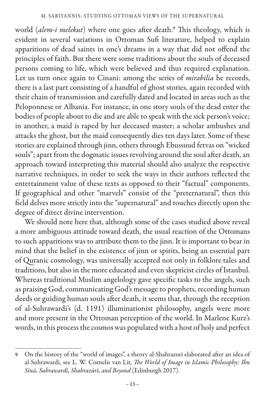world (*alem-i melekut*) where one goes after death.<sup>9</sup> This theology, which is evident in several variations in Ottoman Sufi literature, helped to explain apparitions of dead saints in one's dreams in a way that did not offend the principles of faith. But there were some traditions about the souls of deceased persons coming to life, which were believed and thus required explanation. Let us turn once again to Cinani: among the series of *mirabilia* he records, there is a last part consisting of a handful of ghost stories, again recorded with their chain of transmission and carefully dated and located in areas such as the Peloponnese or Albania. For instance, in one story souls of the dead enter the bodies of people about to die and are able to speak with the sick person's voice; in another, a maid is raped by her deceased master; a scholar ambushes and attacks the ghost, but the maid consequently dies ten days later. Some of these stories are explained through jinn, others through Ebussuud fetvas on "wicked souls"; apart from the dogmatic issues revolving around the soul after death, an approach toward interpreting this material should also analyze the respective narrative techniques, in order to seek the ways in their authors reflected the entertainment value of these texts as opposed to their "factual" components. If geographical and other "marvels" consist of the "preternatural", then this field delves more strictly into the "supernatural" and touches directly upon the degree of direct divine intervention.

We should note here that, although some of the cases studied above reveal a more ambiguous attitude toward death, the usual reaction of the Ottomans to such apparitions was to attribute them to the jinn. It is important to bear in mind that the belief in the existence of jinn or spirits, being an essential part of Quranic cosmology, was universally accepted not only in folklore tales and traditions, but also in the more educated and even skepticist circles of Istanbul. Whereas traditional Muslim angelology gave specific tasks to the angels, such as praising God, communicating God's message to prophets, recording human deeds or guiding human souls after death, it seems that, through the reception of al-Suhrawardi's (d. 1191) illuminationist philosophy, angels were more and more present in the Ottoman perception of the world. In Marlene Kurz's words, in this process the cosmos was populated with a host of holy and perfect

<sup>9</sup> On the history of the "world of images", a theory al-Shahrazuri elaborated after an idea of al-Suhrawardi, see L. W. Cornelis van Lit, *The World of Image in Islamic Philosophy: Ibn Sīnā, Suhrawardī, Shahrazūrī, and Beyond* (Edinburgh 2017).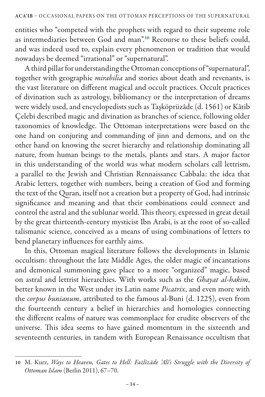entities who "competed with the prophets with regard to their supreme role as intermediaries between God and man".<sup>10</sup> Recourse to these beliefs could, and was indeed used to, explain every phenomenon or tradition that would nowadays be deemed "irrational" or "supernatural".

A third pillar for understanding the Ottoman conceptions of "supernatural", together with geographic *mirabilia* and stories about death and revenants, is the vast literature on different magical and occult practices. Occult practices of divination such as astrology, bibliomancy or the interpretation of dreams were widely used, and encyclopedists such as Taşköprüzâde (d. 1561) or Kâtib Çelebi described magic and divination as branches of science, following older taxonomies of knowledge. The Ottoman interpretations were based on the one hand on conjuring and commanding of jinn and demons, and on the other hand on knowing the secret hierarchy and relationship dominating all nature, from human beings to the metals, plants and stars. A major factor in this understanding of the world was what modern scholars call lettrism, a parallel to the Jewish and Christian Rennaissance Cabbala: the idea that Arabic letters, together with numbers, being a creation of God and forming the text of the Quran, itself not a creation but a property of God, had intrinsic significance and meaning and that their combinations could connect and control the astral and the sublunar world. This theory, expressed in great detail by the great thirteenth-century mysticist Ibn Arabi, is at the root of so-called talismanic science, conceived as a means of using combinations of letters to bend planetary influences for earthly aims.

In this, Ottoman magical literature follows the developments in Islamic occultism: throughout the late Middle Ages, the older magic of incantations and demonical summoning gave place to a more "organized" magic, based on astral and lettrist hierarchies. With works such as the *Ghayat al-hakim*, better known in the West under its Latin name *Picatrix*, and even more with the *corpus bunianum*, attributed to the famous al-Buni (d. 1225), even from the fourteenth century a belief in hierarchies and homologies connecting the different realms of nature was commonplace for erudite observers of the universe. This idea seems to have gained momentum in the sixteenth and seventeenth centuries, in tandem with European Renaissance occultism that

<sup>10</sup> M. Kurz, *Ways to Heaven, Gates to Hell: Fażlīzāde 'Alī's Struggle with the Diversity of Ottoman Islam* (Berlin 2011), 67–70.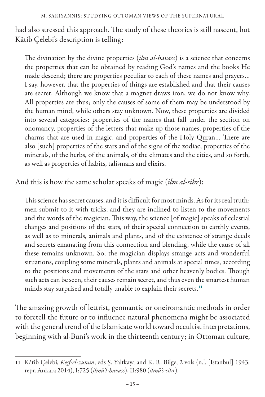had also stressed this approach. The study of these theories is still nascent, but Kâtib Çelebi's description is telling:

The divination by the divine properties (*ilm al-havass*) is a science that concerns the properties that can be obtained by reading God's names and the books He made descend; there are properties peculiar to each of these names and prayers… I say, however, that the properties of things are established and that their causes are secret. Although we know that a magnet draws iron, we do not know why. All properties are thus; only the causes of some of them may be understood by the human mind, while others stay unknown. Now, these properties are divided into several categories: properties of the names that fall under the section on onomancy, properties of the letters that make up those names, properties of the charms that are used in magic, and properties of the Holy Quran… There are also [such] properties of the stars and of the signs of the zodiac, properties of the minerals, of the herbs, of the animals, of the climates and the cities, and so forth, as well as properties of habits, talismans and elixirs.

And this is how the same scholar speaks of magic (*ilm al-sihr*):

This science has secret causes, and it is difficult for most minds. As for its real truth: men submit to it with tricks, and they are inclined to listen to the movements and the words of the magician. This way, the science [of magic] speaks of celestial changes and positions of the stars, of their special connection to earthly events, as well as to minerals, animals and plants, and of the existence of strange deeds and secrets emanating from this connection and blending, while the cause of all these remains unknown. So, the magician displays strange acts and wonderful situations, coupling some minerals, plants and animals at special times, according to the positions and movements of the stars and other heavenly bodies. Though such acts can be seen, their causes remain secret, and thus even the smartest human minds stay surprised and totally unable to explain their secrets.<sup>11</sup>

The amazing growth of lettrist, geomantic or oneiromantic methods in order to foretell the future or to influence natural phenomena might be associated with the general trend of the Islamicate world toward occultist interpretations, beginning with al-Buni's work in the thirteenth century; in Ottoman culture,

<sup>11</sup> Kâtib Çelebi, *Keşf-el-zunun*, eds Ş. Yaltkaya and K. R. Bilge, 2 vols (n.l. [Istanbul] 1943; repr. Ankara 2014), I:725 (*ilmü'l-havass*), II:980 (*ilmü's-sihr*).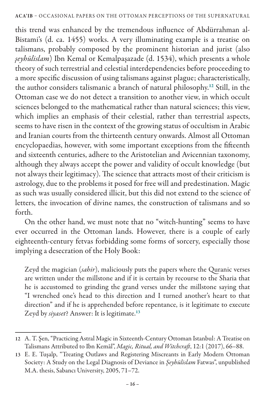this trend was enhanced by the tremendous influence of Abdürrahman al-Bistami's (d. ca. 1455) works. A very illuminating example is a treatise on talismans, probably composed by the prominent historian and jurist (also *şeyhülislam*) Ibn Kemal or Kemalpaşazade (d. 1534), which presents a whole theory of such terrestrial and celestial interdependencies before proceeding to a more specific discussion of using talismans against plague; characteristically, the author considers talismanic a branch of natural philosophy.<sup>12</sup> Still, in the Ottoman case we do not detect a transition to another view, in which occult sciences belonged to the mathematical rather than natural sciences; this view, which implies an emphasis of their celestial, rather than terrestrial aspects, seems to have risen in the context of the growing status of occultism in Arabic and Iranian courts from the thirteenth century onwards. Almost all Ottoman encyclopaedias, however, with some important exceptions from the fifteenth and sixteenth centuries, adhere to the Aristotelian and Avicennian taxonomy, although they always accept the power and validity of occult knowledge (but not always their legitimacy). The science that attracts most of their criticism is astrology, due to the problems it posed for free will and predestination. Magic as such was usually considered illicit, but this did not extend to the science of letters, the invocation of divine names, the construction of talismans and so forth.

On the other hand, we must note that no "witch-hunting" seems to have ever occurred in the Ottoman lands. However, there is a couple of early eighteenth-century fetvas forbidding some forms of sorcery, especially those implying a desecration of the Holy Book:

Zeyd the magician (*sahir*), maliciously puts the papers where the Quranic verses are written under the millstone and if it is certain by recourse to the Sharia that he is accustomed to grinding the grand verses under the millstone saying that "I wrenched one's head to this direction and I turned another's heart to that direction" and if he is apprehended before repentance, is it legitimate to execute Zeyd by *siyaset*? Answer: It is legitimate.<sup>13</sup>

<sup>12</sup> A. T. Şen, "Practicing Astral Magic in Sixteenth-Century Ottoman Istanbul: A Treatise on Talismans Attributed to Ibn Kemāl", *Magic, Ritual, and Witchcraft*, 12:1 (2017), 66–88.

<sup>13</sup> E. E. Tuşalp, "Treating Outlaws and Registering Miscreants in Early Modern Ottoman Society: A Study on the Legal Diagnosis of Deviance in *Şeyhülislam* Fatwas", unpublished M.A. thesis, Sabancı University, 2005, 71–72.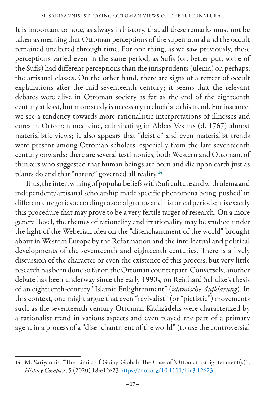It is important to note, as always in history, that all these remarks must not be taken as meaning that Ottoman perceptions of the supernatural and the occult remained unaltered through time. For one thing, as we saw previously, these perceptions varied even in the same period, as Sufis (or, better put, some of the Sufis) had different perceptions than the jurisprudents (ulema) or, perhaps, the artisanal classes. On the other hand, there are signs of a retreat of occult explanations after the mid-seventeenth century; it seems that the relevant debates were alive in Ottoman society as far as the end of the eighteenth century at least, but more study is necessary to elucidate this trend. For instance, we see a tendency towards more rationalistic interpretations of illnesses and cures in Ottoman medicine, culminating in Abbas Vesim's (d. 1767) almost materialistic views; it also appears that "deistic" and even materialist trends were present among Ottoman scholars, especially from the late seventeenth century onwards: there are several testimonies, both Western and Ottoman, of thinkers who suggested that human beings are born and die upon earth just as plants do and that "nature" governed all reality.<sup>14</sup>

Thus, the intertwining of popular beliefs with Sufi culture and with ulema and independent/artisanal scholarship made specific phenomena being 'pushed' in different categories according to social groups and historical periods; it is exactly this procedure that may prove to be a very fertile target of research. On a more general level, the themes of rationality and irrationality may be studied under the light of the Weberian idea on the "disenchantment of the world" brought about in Western Europe by the Reformation and the intellectual and political developments of the seventeenth and eighteenth centuries. There is a lively discussion of the character or even the existence of this process, but very little research has been done so far on the Ottoman counterpart. Conversely, another debate has been underway since the early 1990s, on Reinhard Schulze's thesis of an eighteenth-century "Islamic Enlightenment" (*islamische Aufklärung*). In this context, one might argue that even "revivalist" (or "pietistic") movements such as the seventeenth-century Ottoman Kadızâdelis were characterized by a rationalist trend in various aspects and even played the part of a primary agent in a process of a "disenchantment of the world" (to use the controversial

<sup>14</sup> M. Sariyannis, "The Limits of Going Global: The Case of 'Ottoman Enlightenment(s)'", *History Compass*, 5 (2020) 18:e12623 https://doi.org/10.1111/hic3.12623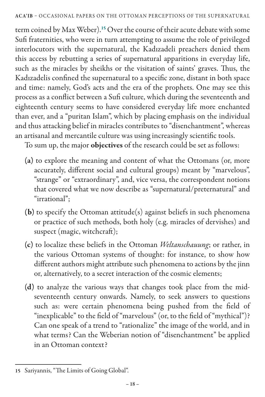term coined by Max Weber).<sup>15</sup> Over the course of their acute debate with some Sufi fraternities, who were in turn attempting to assume the role of privileged interlocutors with the supernatural, the Kadızadeli preachers denied them this access by rebutting a series of supernatural apparitions in everyday life, such as the miracles by sheikhs or the visitation of saints' graves. Thus, the Kadızadelis confined the supernatural to a specific zone, distant in both space and time: namely, God's acts and the era of the prophets. One may see this process as a conflict between a Sufi culture, which during the seventeenth and eighteenth century seems to have considered everyday life more enchanted than ever, and a "puritan Islam", which by placing emphasis on the individual and thus attacking belief in miracles contributes to "disenchantment", whereas an artisanal and mercantile culture was using increasingly scientific tools.

To sum up, the major objectives of the research could be set as follows:

- (a) to explore the meaning and content of what the Ottomans (or, more accurately, different social and cultural groups) meant by "marvelous", "strange" or "extraordinary", and, vice versa, the correspondent notions that covered what we now describe as "supernatural/preternatural" and "irrational";
- (b) to specify the Ottoman attitude(s) against beliefs in such phenomena or practice of such methods, both holy (e.g. miracles of dervishes) and suspect (magic, witchcraft);
- (c) to localize these beliefs in the Ottoman *Weltanschauung*; or rather, in the various Ottoman systems of thought: for instance, to show how different authors might attribute such phenomena to actions by the jinn or, alternatively, to a secret interaction of the cosmic elements;
- (d) to analyze the various ways that changes took place from the midseventeenth century onwards. Namely, to seek answers to questions such as: were certain phenomena being pushed from the field of "inexplicable" to the field of "marvelous" (or, to the field of "mythical")? Can one speak of a trend to "rationalize" the image of the world, and in what terms? Can the Weberian notion of "disenchantment" be applied in an Ottoman context?

<sup>15</sup> Sariyannis, "The Limits of Going Global".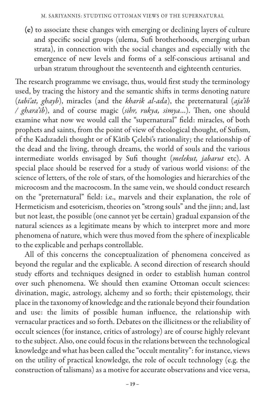(e) to associate these changes with emerging or declining layers of culture and specific social groups (ulema, Sufi brotherhoods, emerging urban strata), in connection with the social changes and especially with the emergence of new levels and forms of a self-conscious artisanal and urban stratum throughout the seventeenth and eighteenth centuries.

The research programme we envisage, thus, would first study the terminology used, by tracing the history and the semantic shifts in terms denoting nature (*tabi'at, ghayb*), miracles (and the *kharik al-ada*), the preternatural (*aja'ib / ghara'ib*), and of course magic (*sihr, rukya, simya*…). Then, one should examine what now we would call the "supernatural" field: miracles, of both prophets and saints, from the point of view of theological thought, of Sufism, of the Kadızadeli thought or of Kâtib Çelebi's rationality; the relationship of the dead and the living, through dreams, the world of souls and the various intermediate worlds envisaged by Sufi thought (*melekut, jabarut* etc). A special place should be reserved for a study of various world visions: of the science of letters, of the role of stars, of the homologies and hierarchies of the microcosm and the macrocosm. In the same vein, we should conduct research on the "preternatural" field: i.e., marvels and their explanation, the role of Hermeticism and esotericism, theories on "strong souls" and the jinn; and, last but not least, the possible (one cannot yet be certain) gradual expansion of the natural sciences as a legitimate means by which to interpret more and more phenomena of nature, which were thus moved from the sphere of inexplicable to the explicable and perhaps controllable.

All of this concerns the conceptualization of phenomena conceived as beyond the regular and the explicable. A second direction of research should study efforts and techniques designed in order to establish human control over such phenomena. We should then examine Ottoman occult sciences: divination, magic, astrology, alchemy and so forth; their epistemology, their place in the taxonomy of knowledge and the rationale beyond their foundation and use: the limits of possible human influence, the relationship with vernacular practices and so forth. Debates on the illicitness or the reliability of occult sciences (for instance, critics of astrology) are of course highly relevant to the subject. Also, one could focus in the relations between the technological knowledge and what has been called the "occult mentality": for instance, views on the utility of practical knowledge, the role of occult technology (e.g. the construction of talismans) as a motive for accurate observations and vice versa,